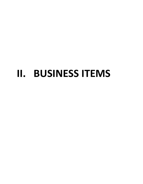# **II. BUSINESS ITEMS**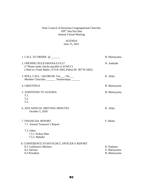#### State Council of Hawaiian Congregational Churches 199th Aha Pae'āina Annual Virtual Meeting

#### AGENDA

#### June 15, 2021

| 1. CALL TO ORDER @                                                                                                                | B. Matsuyama                              |
|-----------------------------------------------------------------------------------------------------------------------------------|-------------------------------------------|
| 2. OPENING PULE/OHANA/LULU*<br>(* Please make checks payable to SCHCC)<br>(Mail to: Frank Mulec, P.O.B 1065, Pahoa HI 96778-1065) | N. Andrade                                |
| 3. ROLL CALL / QUORUM: Yes / No<br>Member Churches: Partnerships: ______                                                          | K. Alika                                  |
| <b>4. GREETINGS</b>                                                                                                               | B. Matsuyama                              |
| <b>5. ADDITIONS TO AGENDA</b><br>5.1.<br>5.2.<br>5.3.                                                                             | B. Matsuyama                              |
| <b>6. 2019 ANNUAL MEETING MINUTES</b><br>October 5, 2020                                                                          | K. Alika                                  |
| 7. FINANCIAL REPORT<br>7.1. Annual Treasurer's Report                                                                             | F. Mulec                                  |
| 7.3. Other<br>7.3.1. Kokua Mau<br>7.3.2. Makeke                                                                                   |                                           |
| 8. CONFERENCE STAFF/SCHCC OFFICER'S REPORT<br>8.1 Conference Minister<br>8.2 Advisor<br>8.3 President                             | D. Popham<br>S. Matsuyama<br>B. Matsuyama |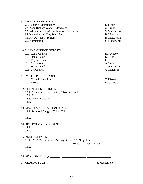#### 9. COMMITTEE REPORTS

10. ISLAND COUNCIL REPORTS

| 9.1. Repair & Maintenance                      | L. Motas     |
|------------------------------------------------|--------------|
| 9.2. Kahu Richard Wong Endowment               | A. Trout     |
| 9.3. William Kahuakai Keliihoomalu Scholarship | S. Matsuyama |
| 9.4. Katherine and Clay Wery Fund              | B. Matsuyama |
| 9.5. AHEC $-5E$ 's Program                     | B. Matsuyama |
| 9.6. Nomination                                | S. Matsuyama |
|                                                |              |

| 10.1. Kauai Council                        | H. Pacheco   |
|--------------------------------------------|--------------|
| 10.2. Oahu Council                         | K. Hess      |
| 10.3. Topside Council                      | U. Sai       |
| 10.4. Maui Council                         | A. Trout     |
| 10.5. WH Council                           | S. Matsuyama |
| 10.6. EH Council                           | C. Malani Jr |
| 11. PARTNERSHIP REPORTS                    |              |
| 11.1. PU'A Foundation                      | T. Bissen    |
| 11.2. AHEC                                 | K. Carmelo   |
| 12. UNFINISHED BUSINESS                    |              |
| 12.1. Addendum – Celebrating Advocacy Book |              |
| 12.2.501c3                                 |              |
| 12.3. Election Update                      |              |
| 12.4.                                      |              |
|                                            |              |

13. NEW BUSINESS/ACTION ITEMS 13.1. Proposed Budget 2021 - 2022

13.3.

- 14. REFLECTION / CONCERNS
	- 14.1.
	- 14.2.

15. ANNOUNCEMENTS 15.1. FY 21/22, Proposed Meeting Dates: 7/31/21, @ 11am, 10/30/21, 1/29/22, 4/30/22 15.2.

15.3.

17. CLOSING PULE S. Masilamoney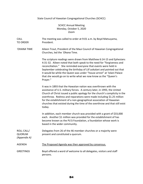### State Council of Hawaiian Congregational Churches (SCHCC)

#### SCHCC Annual Meeting Monday, October 5, 2020 Zoom

| <b>CALL</b><br><b>TO ORDER</b>              | The meeting was called to order at 9:01 a.m. by Boyd Matsuyama,<br>President.                                                                                                                                                                                                                                                                                                                                                                                       |
|---------------------------------------------|---------------------------------------------------------------------------------------------------------------------------------------------------------------------------------------------------------------------------------------------------------------------------------------------------------------------------------------------------------------------------------------------------------------------------------------------------------------------|
| 'OHANA TIME                                 | Aileen Trout, President of the Maui Council of Hawaiian Congregational<br>Churches, led the 'Ohana Time.                                                                                                                                                                                                                                                                                                                                                            |
|                                             | The scripture readings were drawn from Matthew 6:14-15 and Ephesians<br>4:31-32. Aileen noted that both speak to the need for "forgiveness and<br>reconciliation." She reminded everyone that events were held in<br>September celebrating the birthday of Lili'uokalani and pointed out that<br>it would be while the Queen was under "house arrest" at 'Iolani Palace<br>that she would go on to write what we now know as the "Queen's<br>Prayer."               |
|                                             | It was in 1893 that the Hawaiian nation was overthrown with the<br>assistance of U.S. military forces. A century later, in 1993, the United<br>Church of Christ issued a public apology for the church's complicity in the<br>overthrow. Redress and reparations were made including \$1.25 million<br>for the establishment of a non-geographical association of Hawaiian<br>churches that existed during the time of the overthrow and that still exist<br>today. |
|                                             | In addition, each member church was provided with a grant of \$33,000<br>each. Another \$1 million was provided for the establishment of has<br>become known as the Pū'ā Foundation, a foundation whose work is<br>based in the wider community.                                                                                                                                                                                                                    |
| ROLL CALL/<br><b>QUORUM</b><br>(Appendix A) | Delegates from 26 of the 46 member churches or a majority were<br>present and constituted a quorum.                                                                                                                                                                                                                                                                                                                                                                 |
| <b>AGENDA</b>                               | The Proposed Agenda was then approved by consensus.                                                                                                                                                                                                                                                                                                                                                                                                                 |
| <b>GREETINGS</b>                            | Boyd offered a word of welcome to all delegates, visitors and staff<br>persons.                                                                                                                                                                                                                                                                                                                                                                                     |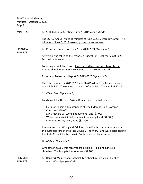REPORTS

MINUTES A. SCHCC Annual Meeting – June 5, 2019 *(Appendix B)*

The SCHCC Annual Meeting minutes of June 5, 2019 were reviewed. The minutes of June 5, 2019 were approved by consensus.

FINANCIAL A. Proposed Budget for Fiscal Year 2020-2021 *(Appendix C)*

Attention was called to the Proposed Budget for Fiscal Year 2020-2021. Discussion followed.

Following a brief discussion, it was agreed by consensus to ratify the Proposed Budget for Fiscal Year 2020-2021. Motion passed.

B. Annual Treasurer's Report FY 2019-2020 *(Appendix D)*

The total income for 2019-2020 was \$8,629.41 and the total expenses was \$6,665.12. The ending balance as of June 30, 2020 was \$16,872.74.

C. *Kōkua Mau (Appendix E)*

Funds available through *Kōkua Mau* included the following:

- Fund for Repair & Maintenance of Small Membership Hawaiian Churches (\$40,000)
- *Kahu* Richard W. Wong Endowment Fund (\$7,000)
- Wlliam Kahuaka'i Keli'iho'omalu Scholarship Fund (\$4,500)
- Katherine & Clay Wery Fund (\$2,500)

It was noted that Wong and Keli'iho'omalu Funds continue to be under the custodial care of the State Council. The Wery Fund was designated to the State Council by the Hawai'i Conference for dispensation.

D. *Makēkē (Appendix F)*

Gifts totaling \$350 was received from Helani, Haili, and Kahikolu churches. The budgeted amount was \$2,100.

COMMITTEE A. Repair & Maintenance of Small Membership Hawaiian Churches - REPORTS Aletha Kaohi *(Appendix G)*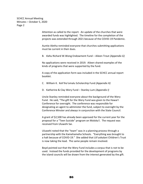> Attention as called to the report. An update of the churches that were awarded funds was highlighted. The timeline for the completion of the projects was extended through 2021 because of the COVID-19 Pandemic.

Auntie Aletha reminded everyone that churches submitting applications must be current in their dues.

B. *Kahu* Richard W.Wong Endowment Fund – Aileen Trout *(Appendix G)*

No applications were received in 2019. Aileen shared examples of the kinds of programs that were supported by the fund.

A copy of the application form was included in the SCHCC annual report booklet.

- C. William K. Keli'iho'omalu Scholarship Fund *(Appendix H)*
- D. Katherine & Clay Wery Fund Stanley Lum *(Appendix I)*

Uncle Stanley reminded everyone about the background of the Wery Fund. He said, "The gift for the Wery Fund was given to the Hawai'i Conference for oversight. The conference was responsible for designating an agent to administer the fund, subject to oversight by the Conference Minster and always in conjunction with the State Council.

A grant of \$2,500 has already been approved for the current year for the proposal for a "Teen Suicide" program on Moloka'i. The request was received from Uluwehi Sai.

Uluwehi noted that the "team" was in a planning process through a partnership with the Kamehameha Schools. "Everything was brought to a halt because of COVID-19." She added that Lili'uokalani Children's Trust is now taking the lead. The same people remain involved.

Boyd pointed out that the Wery Fund includes a corpus that is not to be used. Instead the funds provided for the development of programs by the island councils will be drawn from the interest generated by the gift.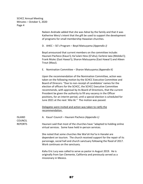> Naleen Andrade added that she was *hānai* by the family and that it was Katherine Wery's intent that the gift be used to support the development of programs for small membership Hawaiian churches.

D. AHEC – 5E's Program – Boyd Matsuyama *(Appendix J)*

Boyd announced that current members on the committee include: Haunani Pacheco (Kaua'i); Ka'iulani Hess (O'ahu); Earlene Iaea (Moloka'i); Frank Mulec (East Hawai'i); Sharon Matsuyama (East Hawai'i) and Aileen Trout (Maui).

E. Nomination Committee – Sharon Matsuyama *(Appendix K)*

Upon the recommendation of the Nomination Committee, action was taken on the following motion by the SCHCC Executive Committee and Board of Direcors: "Due to non-receipt of candidates' names for the election of officers for the SCHCC, the SCHCC Executive Committee recommends, with approval by its Board of Directions, that the current President be given the authority to fill any vacancy in the Officer positions, for an interim period, until a special election is scheduled for June 2021 at the next *'Aha Iki."* The motion was passed.

Delegates were invited and action was taken to ratify the recommendation.

ISLAND **A. Kaua'i Council – Haunani Pacheco** *(Appendix L)* COUNCIL REPORTS Haunani said that most of the churches have "adapted to holding online virtual services. Some have held in-person services.

> She noted that some churches like Wai'oli Hui'ia in Hanalei are dependent on tourism. The church received support for the repair of its parsonage, social hall and church sanctuary following the flood of 2017. Work continues on the sanctuary.

*Kahu* Eric Lucy was called to serve as pastor in August 2019. He is originally from San Clemente, California and previously served as a missionary in Mexico.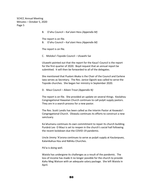B. O'ahu Council – Kai'ulani Hess *(Appendix M)*

The report is on file.

B. O'ahu Council – Kai'ulani Hess *(Appendix M)*

The report is on file.

C. Moloka'i-Topside Council – Uluwehi Sai

Uluwehi pointed out that the report for the Kaua'i Council is the report for the first quarter of 2020. Boyd request that an annual report be submitted. It will then be forwarded to all of the delegates.

She mentioned that Pualani Akaka is the Chair of the Council and Earlene Iaea serves as Secretary. The Rev. Janice Ogoshi was called to serve the Topside churches. She began her ministry in September 2020.

D. Maui Council – Aileen Trout *(Appendix N)*

The report is on file. She provided an update on several things. Keolahou Congregational Hawaiian Church continues to call pulpit supply pastors. They are in a search process for a new pastor.

The Rev. Scott Landis has been called as the Interim Pastor at Keawala'i Congregational Church. Olowalu continues its efforts to construct a new sanctuary.

Ka'ahumanu continues its own commitment to repair its church building. Punānā Leo O Maui is set to reopen in the church's social hall following the recent lockdown due the COVID-19 pandemic.

Uncle Jimmy 'A'arona continues to serve as pulpit supply at Kaulanpueo, Kalanikahua Hou and Nāhiku Churches.

Pā'ia is doing well.

Waiola has undergone its challenges as a result of the pandemic. The loss of income has made it no longer possible for the church to provide *Kahu* Meg Watson with an adequate salary package. She left Waiola in April.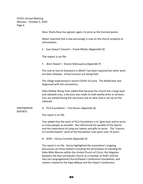|                               | Kanu 'Ānela Rosa has agreed, again, to serve as the licensed pastor.                                                                                                                                                                                                                                                                                                                                                       |
|-------------------------------|----------------------------------------------------------------------------------------------------------------------------------------------------------------------------------------------------------------------------------------------------------------------------------------------------------------------------------------------------------------------------------------------------------------------------|
|                               | Aileen reported that a new parsonage is now on the church property at<br>Lāhuoikalani.                                                                                                                                                                                                                                                                                                                                     |
|                               | E. East Hawai'i Council - Frank Mulec (Appendix O)                                                                                                                                                                                                                                                                                                                                                                         |
|                               | The report is on file.                                                                                                                                                                                                                                                                                                                                                                                                     |
|                               | F. West Hawai'i - Sharon Matsuyama (Appendix P)                                                                                                                                                                                                                                                                                                                                                                            |
|                               | The roof at Hau'oli Kamana'o in Miloli'l has been repaired but other work<br>has been delayed. Virtual services are being held.                                                                                                                                                                                                                                                                                            |
|                               | The village experienced a recent COVID-19 scare. The Moderator was<br>diagnosed with the coronavirus.                                                                                                                                                                                                                                                                                                                      |
|                               | Kahu Debbie Wong Yuen added that because the church has a large lawn<br>and sidewalk area, a decision was made to hold weekly drive-in services.<br>Cars are parked facing the sanctuary and an altar area is set-up on the<br>sidewalk.                                                                                                                                                                                   |
| PARTNERSHIP<br><b>REPORTS</b> | A. Pū'ā Foundation - Toni Bissen (Appendix Q)                                                                                                                                                                                                                                                                                                                                                                              |
|                               | The report is on file.                                                                                                                                                                                                                                                                                                                                                                                                     |
|                               | Toni added that the work of Pū'ā Foundation is to "give back and to serve<br>as many people as possible. She referenced the parable of the talents<br>and the importance of using our talents and gifts to serve. The "trauma<br>to transformation" work of the foundation now spans over 24 years.                                                                                                                        |
|                               | B. AHEC - Kerisa Carmelo (Appendix R)                                                                                                                                                                                                                                                                                                                                                                                      |
|                               | The report is on file. Kerisa highlighted the association's ongoing<br>discussions on three matters including the termination of standing for<br>Kahu Mike Warren within the United Church of Christ; the litigation<br>between the Hau'ula Kahuku Church as a member of AHEC and the<br>Hau'ula Congregational Church/Hawai'i Conference Foundation, and<br>matters related to the Papa Makua and the Hawai'i Conference. |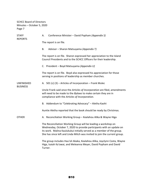SCHCC Board of Directors Minutes – October 5, 2020 Page 7

| <b>STAFF</b><br><b>REPORTS</b>       | Conference Minister - David Popham (Appendix S)<br>А.                                                                                                                                                                                                                                         |
|--------------------------------------|-----------------------------------------------------------------------------------------------------------------------------------------------------------------------------------------------------------------------------------------------------------------------------------------------|
|                                      | The report is on file.                                                                                                                                                                                                                                                                        |
|                                      | Advisor - Sharon Matsuyama (Appendix T)<br>В.                                                                                                                                                                                                                                                 |
|                                      | The report is on file. Sharon expressed her appreciation to the Island<br>Council Presidents and to the SCHCC Officers for their leadership.                                                                                                                                                  |
|                                      | C. President - Boyd Matsuyama (Appendix U)                                                                                                                                                                                                                                                    |
|                                      | The report is on file. Boyd also expressed his appreciation for those<br>serving in positions of leadership as member churches.                                                                                                                                                               |
| <b>UNFINISHED</b><br><b>BUSINESS</b> | A. 501 (c) $(3)$ – Articles of Incorporation – Frank Mulec                                                                                                                                                                                                                                    |
|                                      | Uncle Frank said once the Articles of Incorporation are filed, amendments<br>will need to be made to the Bylaws to make certain they are in<br>compliance with the Articles of Incorporation.                                                                                                 |
|                                      | B. Addendum to "Celebrating Advocacy" - Aletha Kaohi                                                                                                                                                                                                                                          |
|                                      | Auntie Aletha reported that the book should be ready by Christmas.                                                                                                                                                                                                                            |
| OTHER                                | A. Reconciliation Working Group - Kealahou Alika & Wayne Higa                                                                                                                                                                                                                                 |
|                                      | The Reconciliation Working Group will be leading a workshop on<br>Wednesday, October 7, 2020 to provide participants with an update on<br>its work. Malina Kaulukukui initially served as a member of the group.<br>She has since left and Linda Mitch was invited to join the current group. |
|                                      | The group includes Hau'oli Akaka, Kealahou Alika, Joyclynn Costa, Wayne<br>Higa, Isaiah Ka'awai, and Meleanna Meyer, David Popham and David<br>Turner.                                                                                                                                        |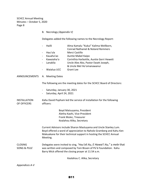B. Necrology *(Appendix V)*

Delegates added the following names to the Necrology Report:

|                               | Hailli<br>Hau'ula<br>$\qquad \qquad -$<br>Kauaha'ao<br>$\overline{\phantom{a}}$<br>Kawaiaha'o<br>$\overline{a}$<br>Lanakila<br>$\overline{\phantom{0}}$<br>Waialua UCC | Alma Kamalu "Kukui" Kalima-Wellborn,<br><b>Conrad Nathaniel &amp; Noland Remmers</b><br>Merci Castillo<br>Auntie Mabel Kaipo<br>Corinthia Harbottle, Auntie Gerri Hewett<br>Uncle Alex Ako, Pastor Ewatt Joseph,<br>& Uncle Mel Ho'omanawanui<br><b>Grant Lee</b> |
|-------------------------------|------------------------------------------------------------------------------------------------------------------------------------------------------------------------|-------------------------------------------------------------------------------------------------------------------------------------------------------------------------------------------------------------------------------------------------------------------|
| ANNOUNCEMENTS                 | A. Meeting Dates                                                                                                                                                       |                                                                                                                                                                                                                                                                   |
|                               |                                                                                                                                                                        | The following are the meeting dates for the SCHCC Board of Directors:                                                                                                                                                                                             |
|                               | Saturday, January 30, 2021<br>$\overline{\phantom{0}}$<br>Saturday, April 24, 2021<br>$\overline{\phantom{0}}$                                                         |                                                                                                                                                                                                                                                                   |
| INSTALLATION<br>OF OFFICERS   | officers:                                                                                                                                                              | Kahu David Popham led the service of installation for the following                                                                                                                                                                                               |
|                               |                                                                                                                                                                        | Boyd Matsuyama, President<br>Aletha Kaohi, Vice-President<br>Frank Mulec, Treasurer<br>Kealahou Alika, Secretary                                                                                                                                                  |
|                               | Meeting.                                                                                                                                                               | Current Advisors include Sharon Mastuyama and Uncle Stanley Lum.<br>Boyd offered a word of appreciation to Naholo Gramberg and Kahu Ken<br>Makuakane for their technical support in hosting the SCHCC Annual                                                      |
| <b>CLOSING</b><br>SONG & PULE |                                                                                                                                                                        | Delegates were invited to sing, "Hau'oli Au, E Hawai'i Au," a mele that<br>was written and composed by Toni Bissen of Pū'ā Foundation. Kahu<br>Barry Mick offered the closing prayer at 11:54 a.m.                                                                |
|                               |                                                                                                                                                                        | Kealahou C. Alika, Secretary                                                                                                                                                                                                                                      |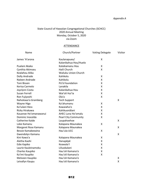#### State Council of Hawaiian Congregational Churches (SCHCC) 2020 Annual Meeting Monday, October 5, 2020 via Zoom

#### **ATTENDANCE**

| Name                  | Church/Partner                        | <b>Voting Delegate</b> | Visitor |
|-----------------------|---------------------------------------|------------------------|---------|
| James 'A'arona        | Kaulanapueo/<br>Kalanikahua Hou/Huelo | X                      |         |
| Pualani Akaka         | Kalaikamanu Hou                       | X                      |         |
| Cynthia Akimseu       | Haili Church                          | X                      |         |
| Kealahou Alika        | Wailuku Union Church                  |                        |         |
| Dolly Andrade         | Kahikolu                              | X                      |         |
| Naleen Andrade        | Kahikolu                              | X                      |         |
| <b>Toni Bissen</b>    | Pū'ā Foundation                       | Χ                      |         |
| Kerisa Carmelo        | Lanakila                              | X                      |         |
| Joyclynn Costa        | Kalanikahua Hou                       | X                      |         |
| <b>Susan Ferrell</b>  | Wai'oli Hui'ia                        | Χ                      |         |
| Ron Fujiyoshi         | Ola'a                                 | X                      |         |
| Naholowa'a Gramberg   | <b>Tech Support</b>                   |                        | X       |
| Wayne Higa            | Ka'ahumanu                            | X                      |         |
| Ka'iulani Hess        | Kawaiaha'o                            | X                      |         |
| Ricky Hirakawa        | Kahikuonālani                         | X                      |         |
| Kauanoe Ho'omanawanui | AHEC Luna Ho'omalu                    | X                      |         |
| Dominic Inocelda      | <b>Pearl City Community</b>           | X                      |         |
| Catherine Kaide       | Laupahoehoe                           |                        | X       |
| Loke Kamanu           | Kalapana Maunakea                     | X                      |         |
| Margaret Rose Kamanu  | Kalapana Maunakea                     |                        | X       |
| Bessie Kamakeeaina    | Hau'ula UCC                           | X                      |         |
| Gwendolyn Kamanu      |                                       |                        | X       |
| Kini Kawa'a           | Kalapana Maunakea                     | X                      |         |
| Aletha Kaohi          | Hanapēpē                              | X                      |         |
| Edie Kapiko           | Keawala'l                             | X                      |         |
| Laurie Kauleinamoku   | Liliuokalani                          | Χ                      |         |
| Charles Kaupiko       | Hau'oli Kamana'o                      | X                      |         |
| Ka'imi Kaupiko        | Hau'oli Kamana'o                      | X                      |         |
| Melveen Kaupiko       | Hau'oli Kamana'o                      |                        | Χ       |
| Leivallyn Kaupu       | Hau'oli Kamana'o                      |                        | Χ       |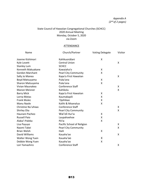#### State Council of Hawaiian Congregational Churches (SCHCC) 2020 Annual Meeting Monday, October 5, 2020 via Zoom

#### **ATTENDANCE**

| Name                   | Church/Partner              | <b>Voting Delegate</b> | Visitor |
|------------------------|-----------------------------|------------------------|---------|
| Joanne Kishimori       | Kahikuonālani               | X                      |         |
| Kyle Lovett            | <b>Central Union</b>        |                        | X       |
| <b>Stanley Lum</b>     | <b>SCHCC</b>                |                        |         |
| Kenneth Makuakane      | Kawaiaha'o                  | X                      |         |
| <b>Gordon Marchant</b> | <b>Pearl City Community</b> | X                      |         |
| Sally Jo Manea         | Kapa'a First Hawaiian       |                        | Χ       |
| Boyd Matsuyama         | Puka'ana                    | X                      |         |
| Sharon Matsuyama       | Puka'ana                    | X                      |         |
| Vivian Maunakea        | Conference Staff            |                        | X       |
| <b>Manon Meisner</b>   | Kahikolu                    |                        | X       |
| <b>Barry Mick</b>      | Kapa'a First Hawaiian       | X                      |         |
| Lorna Motas            | Kaumakapili                 | X                      |         |
| <b>Frank Mulec</b>     | 'Opihikao                   | X                      |         |
| Manu Naole             | Kalihi & Moanalua           | X                      |         |
| Christine Nu'uhiwa     | <b>Conference Staff</b>     |                        | X       |
| Shirley Ota            | <b>Pearl City Community</b> |                        | Χ       |
| Haunani Pacheo         | Wai'oli Hui'ia              | X                      |         |
| <b>Russell Paio</b>    | Laupahoehoe                 | X                      |         |
| Alaka'i Paleka         | Pā'ia                       | Χ                      |         |
| Lisa Payuyo            | Pacific School of Religion  |                        | X       |
| Naomi Takei            | <b>Pearl City Community</b> |                        | X       |
| <b>Brian Welsh</b>     | Haili                       | X                      |         |
| David Williams         | Kauaha'ao                   |                        | X       |
| Walter Wong Yuen       | Kauaha'ao                   | X                      |         |
| Debbie Wong Yuen       | Kauaha'ao                   | Χ                      |         |
| Lori Yamashiro         | Conference Staff            |                        | X       |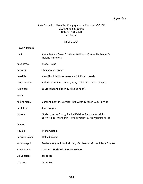#### *Appendix V*

#### State Council of Hawaiian Congregational Churches (SCHCC) 2020 Annual Meeting October 5-8, 2020 via Zoom

#### **NECROLOGY**

#### **Hawai'i Island:**

| Haili         | Alma Kamalu "Kukui" Kalima-Wellborn, Conrad Nathaniel &<br><b>Noland Remmers</b>                                  |
|---------------|-------------------------------------------------------------------------------------------------------------------|
| Kauaha'ao     | Mabel Kaipo                                                                                                       |
| Kahikolu      | Sheila Navas Frasco                                                                                               |
| Lanakila      | Alex Ako, Mel Ho'omanawanui & Ewattt Joseh                                                                        |
| Laupahoehoe   | Kahu Clement Malani Sr., Ruby Leilani Malani & Lei Saito                                                          |
| 'Opihikao     | Louis Kahoano Elia Jr. & Miyoko Kaohi                                                                             |
| Maui:         |                                                                                                                   |
| Ka'ahumanu    | Caroline Benton, Bernice Higa-Wirth & Karen Lum Ho Vida                                                           |
| Keolahou      | Jean Cooper                                                                                                       |
| Waiola        | Grale Lorenzo Chong, Rachel Kaleipo, Barbara Kukahiko,<br>Larry "Pops" Meneghin, Ronald Vaught & Mary Haunani Yap |
| O'ahu:        |                                                                                                                   |
| Hau'ula       | Merci Castillo                                                                                                    |
| Kahikuonālani | Della Kua'ana                                                                                                     |
| Kaumakapili   | Darlene Kaupu, Rosalind Lum, Matthew K. Motas & Jaya Poepoe                                                       |
| Kawaiaha'o    | Corinthia Harbottle & Gerri Hewett                                                                                |
| Lili'uokalani | Jacob Ng                                                                                                          |
| Waialua       | <b>Grant Lee</b>                                                                                                  |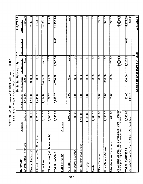STATE COUNCIL OF HAWAIIAN CONGREGATIONAL CHURCHES<br>'Aha Iki Annual Meeting Financial Report FY 2020 - 2021

 $\bar{z}$ 

|                                                                                |                                                                  |                                    |                | Beginning Balance July 1, 2020 |                  | \$16,872.74                 |
|--------------------------------------------------------------------------------|------------------------------------------------------------------|------------------------------------|----------------|--------------------------------|------------------|-----------------------------|
| <b>INCOME</b>                                                                  | <b>Budgeted</b>                                                  | July-Sept Actual                   | Oct-Dec Actual | Jan-Mar Actual                 | Apr - Jun Actual | <b>NETOTAL</b>              |
| \$50<br>$\circledcirc$<br>45<br>Church Dues,                                   | ,250.00<br>$\mathcal{L}$                                         | ,450.00                            | 300.00         | 50.00                          |                  | 1,800.00                    |
| <b>Donations</b><br>Mākeke                                                     | 300.00<br>$\overline{\mathcal{N}}$                               | 1,100.00                           | 950.00         | 0.00                           |                  | 2,050.00                    |
| Interest Income/Wm Crisp Fund                                                  | 825.00<br>$\overline{\phantom{0}}$                               | 1.741.06                           | 0.00           | 0.00                           |                  | 1,741.06                    |
| Donations                                                                      | 675.00<br>က်                                                     | 317.00<br>$\overline{\phantom{0}}$ | 455.00<br>က    | 950.00                         |                  | 5,722.00                    |
| Other Income (reimbursements)                                                  | 00.000<br>$\overline{\mathfrak{S}}$                              | 92.20                              | 25.00          | 0.00                           |                  | 117.20                      |
| TOTAL INCOME                                                                   | 13,050.00                                                        | 5,700.26                           | 4,730.00       | 1,000.00                       | 0.00             | 11,430.26                   |
| EXPENSES:                                                                      | <b>Budgeted</b>                                                  |                                    |                |                                |                  |                             |
| Air Fare                                                                       | 600.00<br>$\ddot{\circ}$                                         | 0.00                               | 0.00           | 0.00                           |                  | 0.00                        |
| Resource Persons                                                               | 500.00                                                           | 0.00                               | 0.00           | 0.00                           |                  | 0.00                        |
| Car Rental/Gas/Parking                                                         | 100.00<br>٣                                                      | 0.00                               | 0.00           | 0.00                           |                  | 0.00                        |
| puibpo-                                                                        | 1,800.00                                                         | 0.00                               | 0.00           | 0.00                           |                  | 0.00                        |
| <b>Meals</b>                                                                   | 00.00<br>$\overline{\phantom{0}}$                                | $\circ$                            | 0.00           | 0.00                           |                  | 0.00                        |
| Office Expense                                                                 | 300.00                                                           | 77.00                              | 0.00           | 0.00                           |                  | 77.00                       |
| Host Church Makana                                                             | 350.00<br>$\overline{\phantom{0}}$                               | 0.00                               | 300.00         | 0.00                           |                  | 300.00                      |
| Miscellaneous Expenses                                                         | 400.00                                                           | 75.00                              | 0.00           | 520.00                         |                  | 595.00                      |
| $\infty$<br>$\infty$<br>Un-Budgeted Expense, Feb.<br>Un-Budgeted Expense, Feb. | 2021, Hawai'i Conf. Foundation<br>2021, Hawai'i Conf. Foundation |                                    |                | $\frac{2,000.00}{2,000.00}$    |                  | $\frac{2,000.00}{2,000.00}$ |
| <b>TOTAL EXPENSES</b>                                                          | 050.00<br><u>(ಎ</u>                                              | 152.00                             | 300.00         | 4,520.00                       | 0.00             | 4,972.00                    |
| Un-Budgeted Expense, Aug. 22, 2020, Pū'ā Foundation                            |                                                                  | 1,000.00                           |                |                                |                  | 1,000.00                    |
|                                                                                |                                                                  |                                    |                | Ending Balance March 31, 2021  |                  | \$22,331.00                 |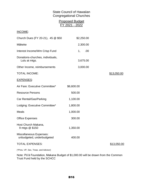## State Council of Hawaiian Congregational Churches

| <b>Proposed Budget</b><br>FY 2021 - 2022             |            |             |
|------------------------------------------------------|------------|-------------|
| INCOME:                                              |            |             |
| Church Dues (FY 20-21), 45 @ \$50                    | \$2,250.00 |             |
| Mākeke                                               | 2,300.00   |             |
| Interest Income/Wm Crisp Fund                        | .00<br>1,  |             |
| Donations-churches, individuals,<br>Lulu at mtgs.    | 3,675.00   |             |
| Other Income, reimbursements                         | 3,000.00   |             |
| <b>TOTAL INCOME:</b>                                 |            | \$13,050.00 |
| <b>EXPENSES:</b>                                     |            |             |
| Air Fare: Executive Committee*                       | \$6,600.00 |             |
| <b>Resource Persons</b>                              | 500.00     |             |
| Car Rental/Gas/Parking                               | 1,100.00   |             |
| Lodging: Executive Committee*                        | 1,800.00   |             |
| <b>Meals</b>                                         | 1,000.00   |             |
| <b>Office Expenses</b>                               | 300.00     |             |
| Host Church Makana,<br>9 mtgs @ \$150                | 1,350.00   |             |
| Miscellaneous Expenses:<br>unbudgeted, underbudgeted | 400.00     |             |
| <b>TOTAL EXPENSES:</b>                               |            | \$13,050.00 |

(\*Pres, VP, Sec, Treas. and Advisor)

Note: Pū'ā Foundation, Makana Budget of \$1,000.00 will be drawn from the Common Trust Fund held by the SCHCC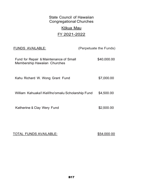# State Council of Hawaiian Congregational Churches

# Kōkua Mau

# FY 2021-2022

| <b>FUNDS AVAILABLE:</b>                                                       | (Perpetuate the Funds) |
|-------------------------------------------------------------------------------|------------------------|
| Fund for Repair & Maintenance of Small<br><b>Membership Hawaiian Churches</b> | \$40,000.00            |
| Kahu Richard W. Wong Grant Fund                                               | \$7,000.00             |
| William Kahuaka'i Keli'iho'omalu Scholarship Fund                             | \$4,500.00             |
| Katherine & Clay Wery Fund                                                    | \$2,500.00             |
|                                                                               |                        |

TOTAL FUNDS AVAILABLE: \$54,000.00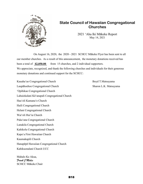

## **State Council of Hawaiian Congregational Churches**

2021 ʻAha Iki Mākeke Report May 14, 2021

On August 16, 2020, the 2020 - 2021 SCHCC Mākeke Flyer has been sent to all our member churches. As a result of this announcement, the monetary donations received has been a total of **\$2,050.00** from 15 churches, and 2 individual supporters. We appreciate, recognized, and thank the following churches and individuals for their generous monetary donations and continued support for the SCHCC:

Kauaha'ao Congregational Church Boyd T.Matsuyama Laupāhoehoe Congregational Church Sharon L.K. Matsuyama ʻOpihikao Congregational Church Lahuiokalani Kāʻanapali Congregational Church Hauʻoli Kamanaʻo Church Haili Congregational Church Helani Congregational Church Waiʻoli Huiʻia Church Pukaʻana Congregational Church Lanakila Congregational Church Kahikolu Congregational Church Kapaʻa First Hawaiian Church Kaumakapili Church Hanapēpē Hawaiian Congregational Church Kahikuonalani Church UCC

Mahalo Ke Akua, *Frank J Mulec* SCHCC Mākeke Chair